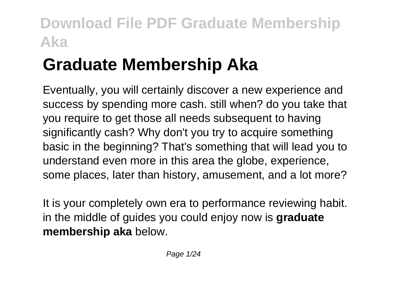# **Graduate Membership Aka**

Eventually, you will certainly discover a new experience and success by spending more cash. still when? do you take that you require to get those all needs subsequent to having significantly cash? Why don't you try to acquire something basic in the beginning? That's something that will lead you to understand even more in this area the globe, experience, some places, later than history, amusement, and a lot more?

It is your completely own era to performance reviewing habit. in the middle of guides you could enjoy now is **graduate membership aka** below.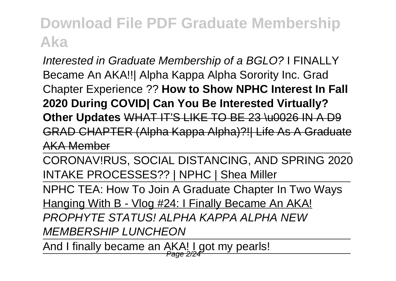Interested in Graduate Membership of a BGLO? I FINALLY Became An AKA!!| Alpha Kappa Alpha Sorority Inc. Grad Chapter Experience ?? **How to Show NPHC Interest In Fall 2020 During COVID| Can You Be Interested Virtually? Other Updates** WHAT IT'S LIKE TO BE 23 \u0026 IN A D9 GRAD CHAPTER (Alpha Kappa Alpha)?!| Life As A Graduate AKA Member

CORONAV!RUS, SOCIAL DISTANCING, AND SPRING 2020 INTAKE PROCESSES?? | NPHC | Shea Miller

NPHC TEA: How To Join A Graduate Chapter In Two Ways Hanging With B - Vlog #24: I Finally Became An AKA! PROPHYTE STATUS! ALPHA KAPPA ALPHA NEW MEMBERSHIP LUNCHEON

And I finally became an AKA! I got my pearls!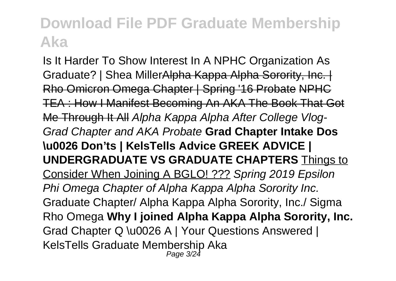Is It Harder To Show Interest In A NPHC Organization As Graduate? | Shea MillerAlpha Kappa Alpha Sorority, Inc. | Rho Omicron Omega Chapter | Spring '16 Probate NPHC TEA : How I Manifest Becoming An AKA The Book That Got Me Through It All Alpha Kappa Alpha After College Vlog-Grad Chapter and AKA Probate **Grad Chapter Intake Dos \u0026 Don'ts | KelsTells Advice GREEK ADVICE | UNDERGRADUATE VS GRADUATE CHAPTERS** Things to Consider When Joining A BGLO! ??? Spring 2019 Epsilon Phi Omega Chapter of Alpha Kappa Alpha Sorority Inc. Graduate Chapter/ Alpha Kappa Alpha Sorority, Inc./ Sigma Rho Omega **Why I joined Alpha Kappa Alpha Sorority, Inc.** Grad Chapter Q \u0026 A | Your Questions Answered | KelsTells Graduate Membership Aka Page 3/24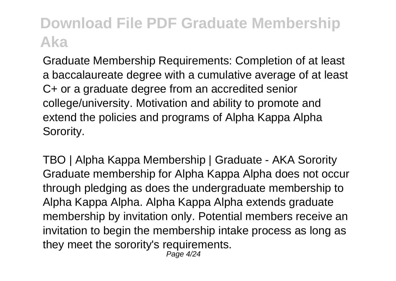Graduate Membership Requirements: Completion of at least a baccalaureate degree with a cumulative average of at least C+ or a graduate degree from an accredited senior college/university. Motivation and ability to promote and extend the policies and programs of Alpha Kappa Alpha Sorority.

TBO | Alpha Kappa Membership | Graduate - AKA Sorority Graduate membership for Alpha Kappa Alpha does not occur through pledging as does the undergraduate membership to Alpha Kappa Alpha. Alpha Kappa Alpha extends graduate membership by invitation only. Potential members receive an invitation to begin the membership intake process as long as they meet the sorority's requirements.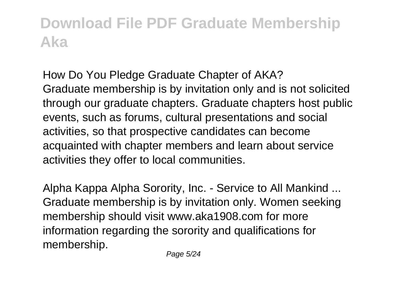How Do You Pledge Graduate Chapter of AKA? Graduate membership is by invitation only and is not solicited through our graduate chapters. Graduate chapters host public events, such as forums, cultural presentations and social activities, so that prospective candidates can become acquainted with chapter members and learn about service activities they offer to local communities.

Alpha Kappa Alpha Sorority, Inc. - Service to All Mankind ... Graduate membership is by invitation only. Women seeking membership should visit www.aka1908.com for more information regarding the sorority and qualifications for membership.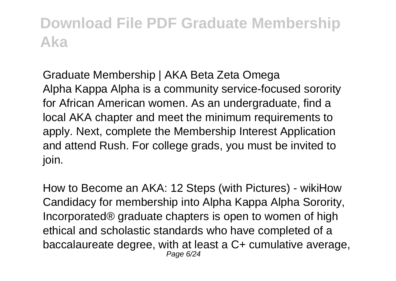Graduate Membership | AKA Beta Zeta Omega Alpha Kappa Alpha is a community service-focused sorority for African American women. As an undergraduate, find a local AKA chapter and meet the minimum requirements to apply. Next, complete the Membership Interest Application and attend Rush. For college grads, you must be invited to join.

How to Become an AKA: 12 Steps (with Pictures) - wikiHow Candidacy for membership into Alpha Kappa Alpha Sorority, Incorporated® graduate chapters is open to women of high ethical and scholastic standards who have completed of a baccalaureate degree, with at least a C+ cumulative average, Page 6/24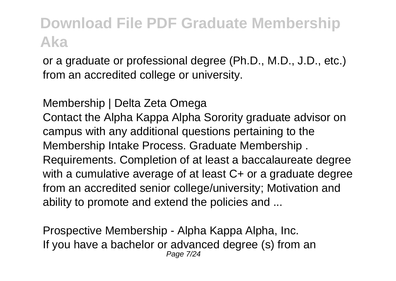or a graduate or professional degree (Ph.D., M.D., J.D., etc.) from an accredited college or university.

Membership | Delta Zeta Omega Contact the Alpha Kappa Alpha Sorority graduate advisor on campus with any additional questions pertaining to the Membership Intake Process. Graduate Membership . Requirements. Completion of at least a baccalaureate degree with a cumulative average of at least C+ or a graduate degree from an accredited senior college/university; Motivation and ability to promote and extend the policies and ...

Prospective Membership - Alpha Kappa Alpha, Inc. If you have a bachelor or advanced degree (s) from an Page 7/24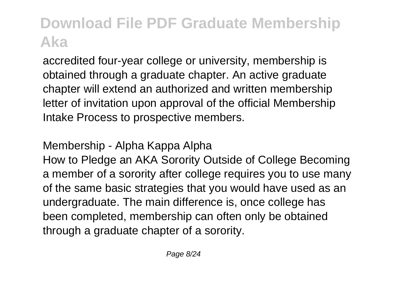accredited four-year college or university, membership is obtained through a graduate chapter. An active graduate chapter will extend an authorized and written membership letter of invitation upon approval of the official Membership Intake Process to prospective members.

Membership - Alpha Kappa Alpha

How to Pledge an AKA Sorority Outside of College Becoming a member of a sorority after college requires you to use many of the same basic strategies that you would have used as an undergraduate. The main difference is, once college has been completed, membership can often only be obtained through a graduate chapter of a sorority.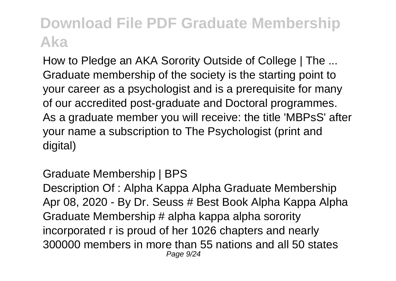How to Pledge an AKA Sorority Outside of College | The ... Graduate membership of the society is the starting point to your career as a psychologist and is a prerequisite for many of our accredited post-graduate and Doctoral programmes. As a graduate member you will receive: the title 'MBPsS' after your name a subscription to The Psychologist (print and digital)

#### Graduate Membership | BPS

Description Of : Alpha Kappa Alpha Graduate Membership Apr 08, 2020 - By Dr. Seuss # Best Book Alpha Kappa Alpha Graduate Membership # alpha kappa alpha sorority incorporated r is proud of her 1026 chapters and nearly 300000 members in more than 55 nations and all 50 states Page 9/24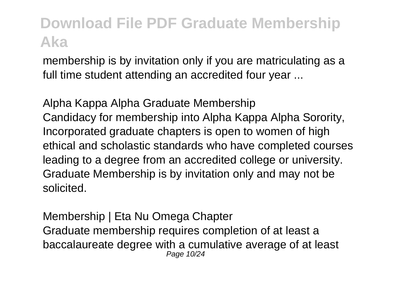membership is by invitation only if you are matriculating as a full time student attending an accredited four year ...

Alpha Kappa Alpha Graduate Membership Candidacy for membership into Alpha Kappa Alpha Sorority, Incorporated graduate chapters is open to women of high ethical and scholastic standards who have completed courses leading to a degree from an accredited college or university. Graduate Membership is by invitation only and may not be solicited.

Membership | Eta Nu Omega Chapter Graduate membership requires completion of at least a baccalaureate degree with a cumulative average of at least Page 10/24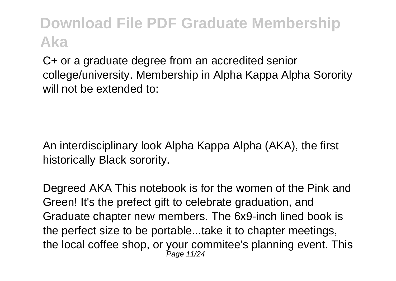C+ or a graduate degree from an accredited senior college/university. Membership in Alpha Kappa Alpha Sorority will not be extended to:

An interdisciplinary look Alpha Kappa Alpha (AKA), the first historically Black sorority.

Degreed AKA This notebook is for the women of the Pink and Green! It's the prefect gift to celebrate graduation, and Graduate chapter new members. The 6x9-inch lined book is the perfect size to be portable...take it to chapter meetings, the local coffee shop, or your commitee's planning event. This Page 11/24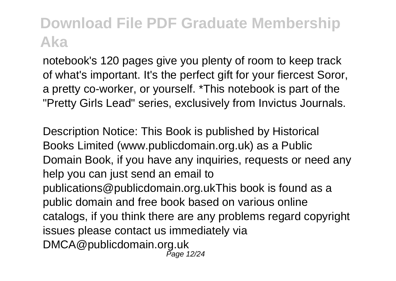notebook's 120 pages give you plenty of room to keep track of what's important. It's the perfect gift for your fiercest Soror, a pretty co-worker, or yourself. \*This notebook is part of the "Pretty Girls Lead" series, exclusively from Invictus Journals.

Description Notice: This Book is published by Historical Books Limited (www.publicdomain.org.uk) as a Public Domain Book, if you have any inquiries, requests or need any help you can just send an email to publications@publicdomain.org.ukThis book is found as a public domain and free book based on various online catalogs, if you think there are any problems regard copyright issues please contact us immediately via DMCA@publicdomain.org.uk Page 12/24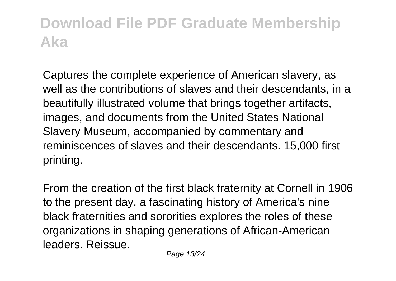Captures the complete experience of American slavery, as well as the contributions of slaves and their descendants, in a beautifully illustrated volume that brings together artifacts, images, and documents from the United States National Slavery Museum, accompanied by commentary and reminiscences of slaves and their descendants. 15,000 first printing.

From the creation of the first black fraternity at Cornell in 1906 to the present day, a fascinating history of America's nine black fraternities and sororities explores the roles of these organizations in shaping generations of African-American leaders. Reissue.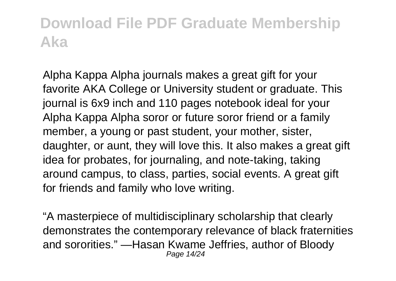Alpha Kappa Alpha journals makes a great gift for your favorite AKA College or University student or graduate. This journal is 6x9 inch and 110 pages notebook ideal for your Alpha Kappa Alpha soror or future soror friend or a family member, a young or past student, your mother, sister, daughter, or aunt, they will love this. It also makes a great gift idea for probates, for journaling, and note-taking, taking around campus, to class, parties, social events. A great gift for friends and family who love writing.

"A masterpiece of multidisciplinary scholarship that clearly demonstrates the contemporary relevance of black fraternities and sororities." —Hasan Kwame Jeffries, author of Bloody Page 14/24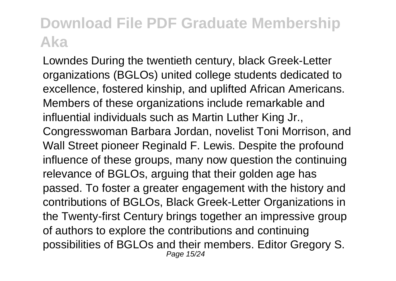Lowndes During the twentieth century, black Greek-Letter organizations (BGLOs) united college students dedicated to excellence, fostered kinship, and uplifted African Americans. Members of these organizations include remarkable and influential individuals such as Martin Luther King Jr., Congresswoman Barbara Jordan, novelist Toni Morrison, and Wall Street pioneer Reginald F. Lewis. Despite the profound influence of these groups, many now question the continuing relevance of BGLOs, arguing that their golden age has passed. To foster a greater engagement with the history and contributions of BGLOs, Black Greek-Letter Organizations in the Twenty-first Century brings together an impressive group of authors to explore the contributions and continuing possibilities of BGLOs and their members. Editor Gregory S. Page 15/24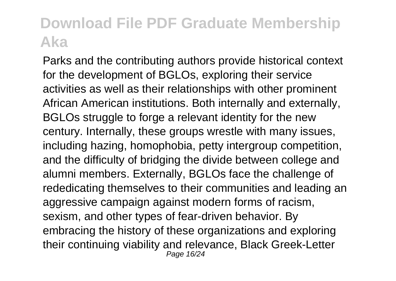Parks and the contributing authors provide historical context for the development of BGLOs, exploring their service activities as well as their relationships with other prominent African American institutions. Both internally and externally, BGLOs struggle to forge a relevant identity for the new century. Internally, these groups wrestle with many issues, including hazing, homophobia, petty intergroup competition, and the difficulty of bridging the divide between college and alumni members. Externally, BGLOs face the challenge of rededicating themselves to their communities and leading an aggressive campaign against modern forms of racism. sexism, and other types of fear-driven behavior. By embracing the history of these organizations and exploring their continuing viability and relevance, Black Greek-Letter Page 16/24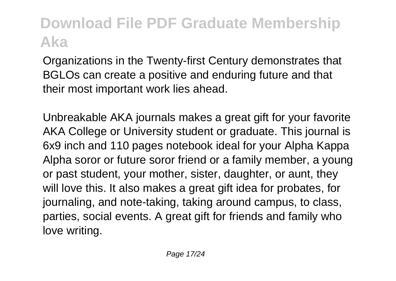Organizations in the Twenty-first Century demonstrates that BGLOs can create a positive and enduring future and that their most important work lies ahead.

Unbreakable AKA journals makes a great gift for your favorite AKA College or University student or graduate. This journal is 6x9 inch and 110 pages notebook ideal for your Alpha Kappa Alpha soror or future soror friend or a family member, a young or past student, your mother, sister, daughter, or aunt, they will love this. It also makes a great gift idea for probates, for journaling, and note-taking, taking around campus, to class, parties, social events. A great gift for friends and family who love writing.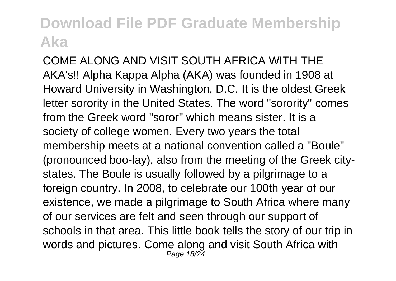COME ALONG AND VISIT SOUTH AFRICA WITH THE AKA's!! Alpha Kappa Alpha (AKA) was founded in 1908 at Howard University in Washington, D.C. It is the oldest Greek letter sorority in the United States. The word "sorority" comes from the Greek word "soror" which means sister. It is a society of college women. Every two years the total membership meets at a national convention called a "Boule" (pronounced boo-lay), also from the meeting of the Greek citystates. The Boule is usually followed by a pilgrimage to a foreign country. In 2008, to celebrate our 100th year of our existence, we made a pilgrimage to South Africa where many of our services are felt and seen through our support of schools in that area. This little book tells the story of our trip in words and pictures. Come along and visit South Africa with Page 18/24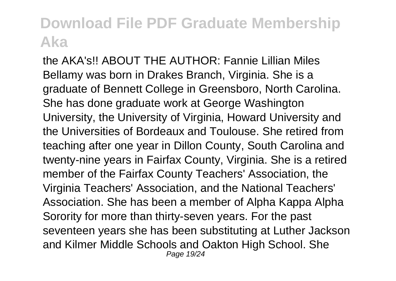the AKA's!! ABOUT THE AUTHOR: Fannie Lillian Miles Bellamy was born in Drakes Branch, Virginia. She is a graduate of Bennett College in Greensboro, North Carolina. She has done graduate work at George Washington University, the University of Virginia, Howard University and the Universities of Bordeaux and Toulouse. She retired from teaching after one year in Dillon County, South Carolina and twenty-nine years in Fairfax County, Virginia. She is a retired member of the Fairfax County Teachers' Association, the Virginia Teachers' Association, and the National Teachers' Association. She has been a member of Alpha Kappa Alpha Sorority for more than thirty-seven years. For the past seventeen years she has been substituting at Luther Jackson and Kilmer Middle Schools and Oakton High School. She Page 19/24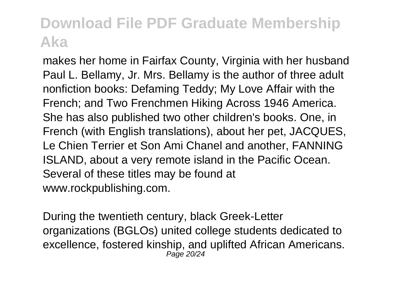makes her home in Fairfax County, Virginia with her husband Paul L. Bellamy, Jr. Mrs. Bellamy is the author of three adult nonfiction books: Defaming Teddy; My Love Affair with the French; and Two Frenchmen Hiking Across 1946 America. She has also published two other children's books. One, in French (with English translations), about her pet, JACQUES, Le Chien Terrier et Son Ami Chanel and another, FANNING ISLAND, about a very remote island in the Pacific Ocean. Several of these titles may be found at www.rockpublishing.com.

During the twentieth century, black Greek-Letter organizations (BGLOs) united college students dedicated to excellence, fostered kinship, and uplifted African Americans.  $P$ age 20/24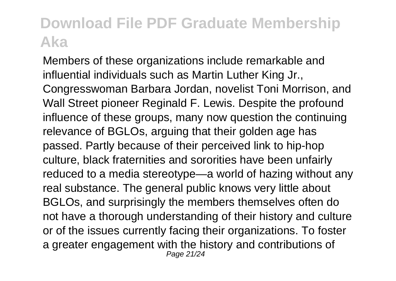Members of these organizations include remarkable and influential individuals such as Martin Luther King Jr., Congresswoman Barbara Jordan, novelist Toni Morrison, and Wall Street pioneer Reginald F. Lewis. Despite the profound influence of these groups, many now question the continuing relevance of BGLOs, arguing that their golden age has passed. Partly because of their perceived link to hip-hop culture, black fraternities and sororities have been unfairly reduced to a media stereotype—a world of hazing without any real substance. The general public knows very little about BGLOs, and surprisingly the members themselves often do not have a thorough understanding of their history and culture or of the issues currently facing their organizations. To foster a greater engagement with the history and contributions of Page 21/24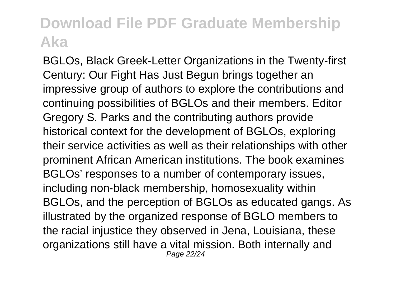BGLOs, Black Greek-Letter Organizations in the Twenty-first Century: Our Fight Has Just Begun brings together an impressive group of authors to explore the contributions and continuing possibilities of BGLOs and their members. Editor Gregory S. Parks and the contributing authors provide historical context for the development of BGLOs, exploring their service activities as well as their relationships with other prominent African American institutions. The book examines BGLOs' responses to a number of contemporary issues, including non-black membership, homosexuality within BGLOs, and the perception of BGLOs as educated gangs. As illustrated by the organized response of BGLO members to the racial injustice they observed in Jena, Louisiana, these organizations still have a vital mission. Both internally and Page 22/24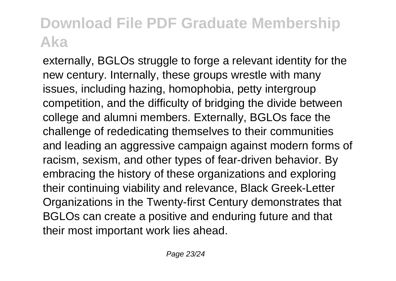externally, BGLOs struggle to forge a relevant identity for the new century. Internally, these groups wrestle with many issues, including hazing, homophobia, petty intergroup competition, and the difficulty of bridging the divide between college and alumni members. Externally, BGLOs face the challenge of rededicating themselves to their communities and leading an aggressive campaign against modern forms of racism, sexism, and other types of fear-driven behavior. By embracing the history of these organizations and exploring their continuing viability and relevance, Black Greek-Letter Organizations in the Twenty-first Century demonstrates that BGLOs can create a positive and enduring future and that their most important work lies ahead.